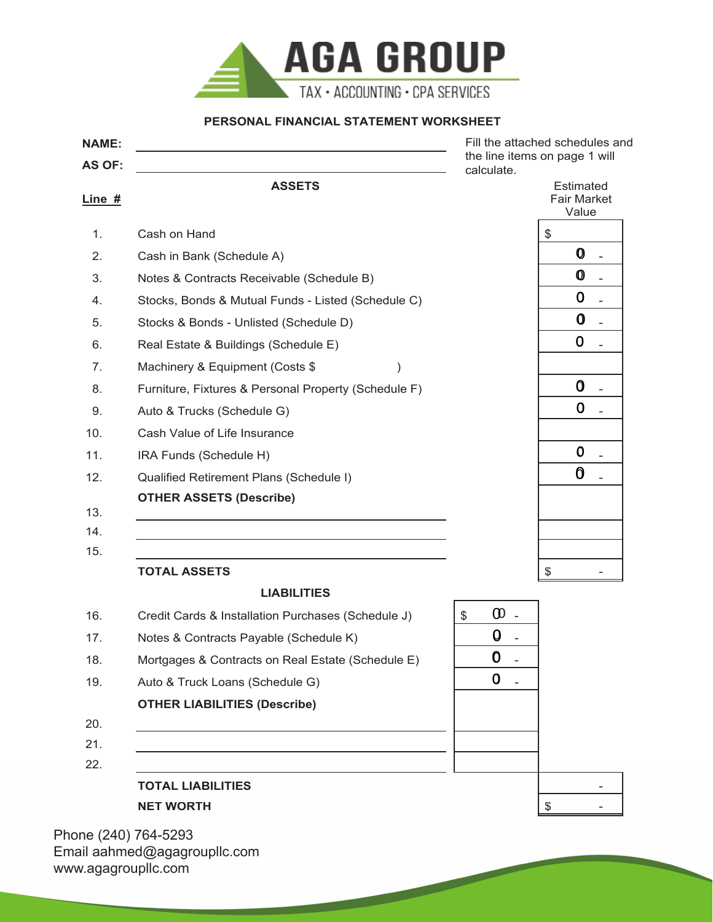

# **PERSONAL FINANCIAL STATEMENT WORKSHEET**

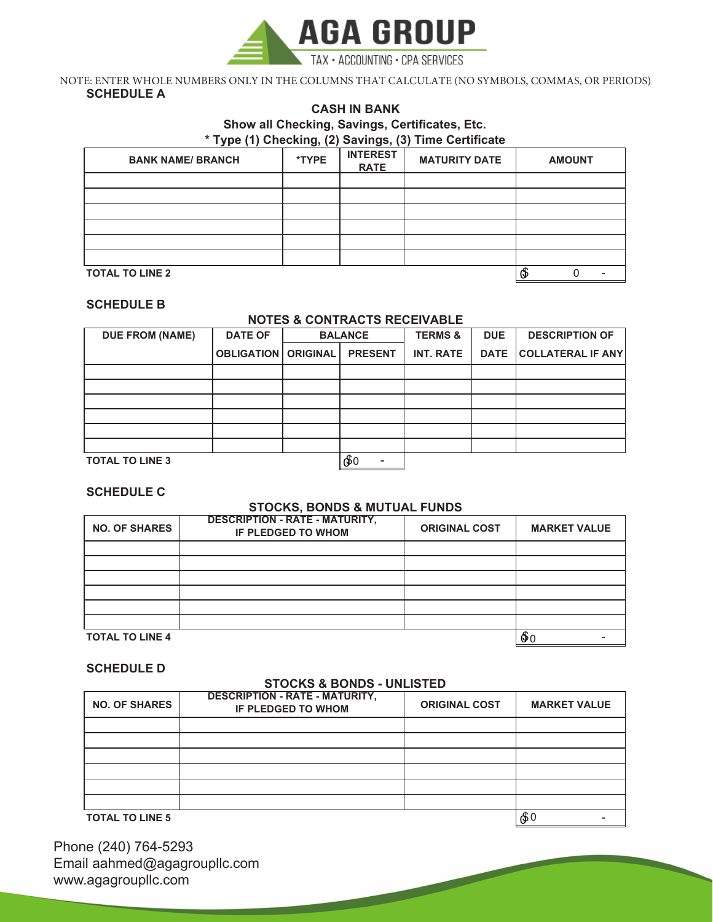

#### **SCHEDULE A** NOTE: ENTER WHOLE NUMBERS ONLY IN THE COLUMNS THAT CALCULATE (NO SYMBOLS, COMMAS, OR PERIODS)

# **CASH IN BANK**

## **Show all Checking, Savings, Certificates, Etc. \* Type (1) Checking, (2) Savings, (3) Time Certificate**

| <b>BANK NAME/ BRANCH</b> | *TYPE | <b>INTEREST</b><br><b>RATE</b> | <b>MATURITY DATE</b> | <b>AMOUNT</b> |
|--------------------------|-------|--------------------------------|----------------------|---------------|
|                          |       |                                |                      |               |
|                          |       |                                |                      |               |
|                          |       |                                |                      |               |
|                          |       |                                |                      |               |
|                          |       |                                |                      |               |
|                          |       |                                |                      |               |
| <b>TOTAL TO LINE 2</b>   | O)    |                                |                      |               |

**SCHEDULE B**

### **NOTES & CONTRACTS RECEIVABLE**

| <b>DUE FROM (NAME)</b> | <b>DATE OF</b>               | <b>BALANCE</b> |                  | <b>DUE</b>  | <b>DESCRIPTION OF</b>    |
|------------------------|------------------------------|----------------|------------------|-------------|--------------------------|
|                        | <b>OBLIGATION   ORIGINAL</b> | <b>PRESENT</b> | <b>INT. RATE</b> | <b>DATE</b> | <b>COLLATERAL IF ANY</b> |
|                        |                              |                |                  |             |                          |
|                        |                              |                |                  |             |                          |
|                        |                              |                |                  |             |                          |
|                        |                              |                |                  |             |                          |
|                        |                              |                |                  |             |                          |
|                        |                              |                |                  |             |                          |
| <b>TOTAL TO LINE 3</b> |                              | டு0            |                  |             |                          |

## **SCHEDULE C**

#### **STOCKS, BONDS & MUTUAL FUNDS**

| <b>NO. OF SHARES</b>   | <b>DESCRIPTION - RATE - MATURITY,</b><br><b>IF PLEDGED TO WHOM</b> | <b>ORIGINAL COST</b> | <b>MARKET VALUE</b> |
|------------------------|--------------------------------------------------------------------|----------------------|---------------------|
|                        |                                                                    |                      |                     |
|                        |                                                                    |                      |                     |
|                        |                                                                    |                      |                     |
|                        |                                                                    |                      |                     |
|                        |                                                                    |                      |                     |
|                        |                                                                    |                      |                     |
| <b>TOTAL TO LINE 4</b> |                                                                    |                      | ФC                  |

### **SCHEDULE D**

# **STOCKS & BONDS - UNLISTED**

| <u>UI UUINU W DUNDU - UNLIUI LD</u> |                                                             |                      |                     |  |  |  |  |
|-------------------------------------|-------------------------------------------------------------|----------------------|---------------------|--|--|--|--|
| <b>NO. OF SHARES</b>                | <b>DESCRIPTION - RATE - MATURITY,</b><br>IF PLEDGED TO WHOM | <b>ORIGINAL COST</b> | <b>MARKET VALUE</b> |  |  |  |  |
|                                     |                                                             |                      |                     |  |  |  |  |
|                                     |                                                             |                      |                     |  |  |  |  |
|                                     |                                                             |                      |                     |  |  |  |  |
|                                     |                                                             |                      |                     |  |  |  |  |
|                                     |                                                             |                      |                     |  |  |  |  |
|                                     |                                                             |                      |                     |  |  |  |  |
| <b>TOTAL TO LINE 5</b>              |                                                             |                      | டு 0                |  |  |  |  |

**Contract Contract Contract**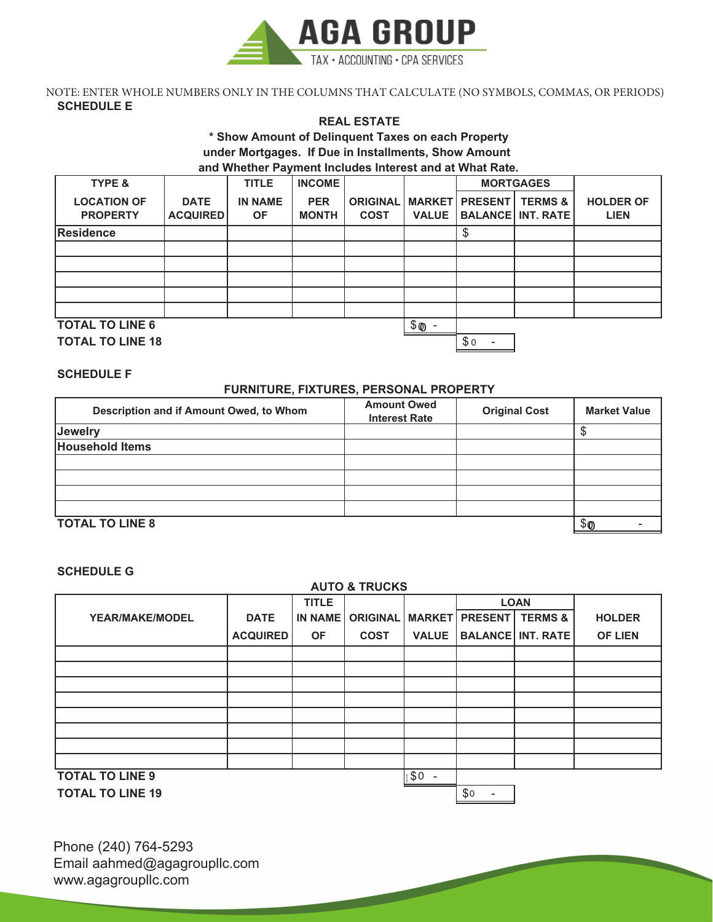

# **SCHEDULE E** NOTE: ENTER WHOLE NUMBERS ONLY IN THE COLUMNS THAT CALCULATE (NO SYMBOLS, COMMAS, OR PERIODS)

### **REAL ESTATE**

**\* Show Amount of Delinquent Taxes on each Property**

**under Mortgages. If Due in Installments, Show Amount** 

**and Whether Payment Includes Interest and at What Rate.**

| <b>TYPE &amp;</b>                     |                                | <b>TITLE</b>                | <b>INCOME</b>              |                                |              |                       | <b>MORTGAGES</b>                               |                                 |
|---------------------------------------|--------------------------------|-----------------------------|----------------------------|--------------------------------|--------------|-----------------------|------------------------------------------------|---------------------------------|
| <b>LOCATION OF</b><br><b>PROPERTY</b> | <b>DATE</b><br><b>ACQUIRED</b> | <b>IN NAME</b><br><b>OF</b> | <b>PER</b><br><b>MONTH</b> | <b>ORIGINAL</b><br><b>COST</b> | <b>VALUE</b> | <b>MARKET PRESENT</b> | <b>TERMS &amp;</b><br><b>BALANCE INT. RATE</b> | <b>HOLDER OF</b><br><b>LIEN</b> |
| <b>Residence</b>                      |                                |                             |                            |                                |              | \$                    |                                                |                                 |
|                                       |                                |                             |                            |                                |              |                       |                                                |                                 |
|                                       |                                |                             |                            |                                |              |                       |                                                |                                 |
|                                       |                                |                             |                            |                                |              |                       |                                                |                                 |
|                                       |                                |                             |                            |                                |              |                       |                                                |                                 |
|                                       |                                |                             |                            |                                |              |                       |                                                |                                 |
| <b>TOTAL TO LINE 6</b>                |                                |                             |                            |                                | \$ 0         |                       |                                                |                                 |
| <b>TOTAL TO LINE 18</b>               |                                |                             |                            |                                |              | \$0                   |                                                |                                 |

#### **SCHEDULE F**

#### **FURNITURE, FIXTURES, PERSONAL PROPERTY**

| Description and if Amount Owed, to Whom | <b>Amount Owed</b><br><b>Interest Rate</b> | <b>Original Cost</b> | <b>Market Value</b> |  |  |  |
|-----------------------------------------|--------------------------------------------|----------------------|---------------------|--|--|--|
| Jewelry                                 |                                            |                      |                     |  |  |  |
| <b>Household Items</b>                  |                                            |                      |                     |  |  |  |
|                                         |                                            |                      |                     |  |  |  |
|                                         |                                            |                      |                     |  |  |  |
|                                         |                                            |                      |                     |  |  |  |
|                                         |                                            |                      |                     |  |  |  |
| <b>TOTAL TO LINE 8</b>                  |                                            |                      |                     |  |  |  |

**SCHEDULE G**

| <b>AUTO &amp; TRUCKS</b> |                 |                |                 |               |                |                          |                |
|--------------------------|-----------------|----------------|-----------------|---------------|----------------|--------------------------|----------------|
|                          |                 | <b>TITLE</b>   |                 |               |                | <b>LOAN</b>              |                |
| <b>YEAR/MAKE/MODEL</b>   | <b>DATE</b>     | <b>IN NAME</b> | <b>ORIGINAL</b> | <b>MARKET</b> | <b>PRESENT</b> | <b>TERMS &amp;</b>       | <b>HOLDER</b>  |
|                          | <b>ACQUIRED</b> | <b>OF</b>      | <b>COST</b>     | <b>VALUE</b>  |                | <b>BALANCE INT. RATE</b> | <b>OF LIEN</b> |
|                          |                 |                |                 |               |                |                          |                |
|                          |                 |                |                 |               |                |                          |                |
|                          |                 |                |                 |               |                |                          |                |
|                          |                 |                |                 |               |                |                          |                |
|                          |                 |                |                 |               |                |                          |                |
|                          |                 |                |                 |               |                |                          |                |
|                          |                 |                |                 |               |                |                          |                |
|                          |                 |                |                 |               |                |                          |                |
| <b>TOTAL TO LINE 9</b>   |                 |                |                 | ∣\$0          |                |                          |                |
| <b>TOTAL TO LINE 19</b>  |                 |                |                 |               | \$0<br>-       |                          |                |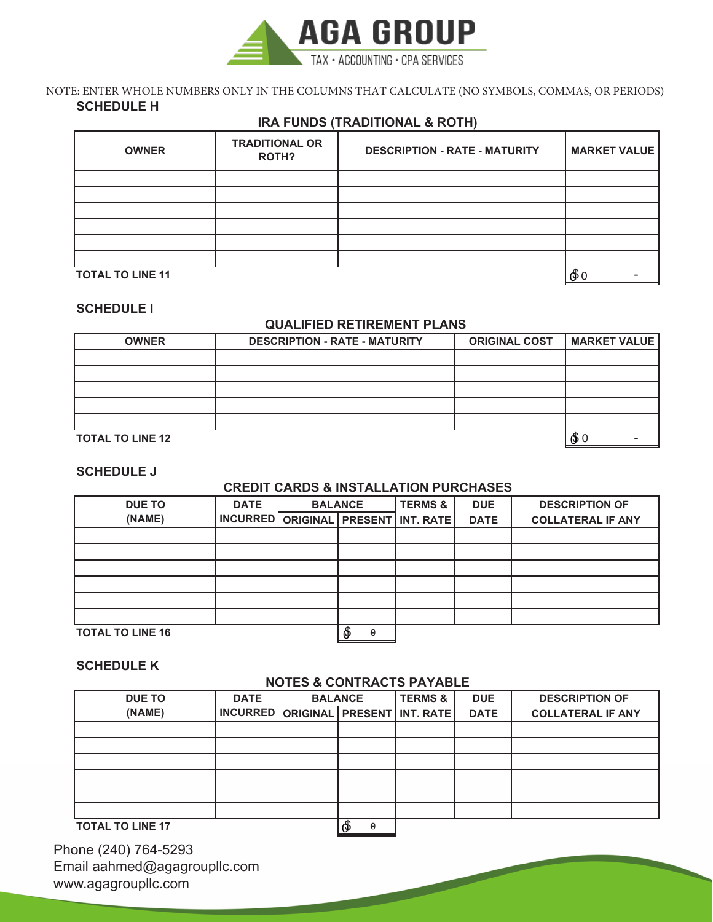

# **SCHEDULE H** NOTE: ENTER WHOLE NUMBERS ONLY IN THE COLUMNS THAT CALCULATE (NO SYMBOLS, COMMAS, OR PERIODS)

# **IRA FUNDS (TRADITIONAL & ROTH)**

| <b>OWNER</b>            | <b>TRADITIONAL OR</b><br><b>ROTH?</b> | <b>DESCRIPTION - RATE - MATURITY</b> | <b>MARKET VALUE</b> |
|-------------------------|---------------------------------------|--------------------------------------|---------------------|
|                         |                                       |                                      |                     |
|                         |                                       |                                      |                     |
|                         |                                       |                                      |                     |
|                         |                                       |                                      |                     |
|                         |                                       |                                      |                     |
|                         |                                       |                                      |                     |
| <b>TOTAL TO LINE 11</b> |                                       |                                      | ∲С                  |

#### **SCHEDULE I**

#### **QUALIFIED RETIREMENT PLANS**

| <b>OWNER</b>            | <b>DESCRIPTION - RATE - MATURITY</b> | <b>ORIGINAL COST</b> | MARKET VALUE |
|-------------------------|--------------------------------------|----------------------|--------------|
|                         |                                      |                      |              |
|                         |                                      |                      |              |
|                         |                                      |                      |              |
|                         |                                      |                      |              |
|                         |                                      |                      |              |
| <b>TOTAL TO LINE 12</b> |                                      |                      | டு c         |

## **SCHEDULE J**

# **CREDIT CARDS & INSTALLATION PURCHASES**

| <b>DUE TO</b>           | <b>DATE</b>     |                             | <b>BALANCE</b>     | <b>TERMS &amp;</b> | <b>DUE</b>  | <b>DESCRIPTION OF</b>    |
|-------------------------|-----------------|-----------------------------|--------------------|--------------------|-------------|--------------------------|
| (NAME)                  | <b>INCURRED</b> | <b>ORIGINAL   PRESENT  </b> |                    | <b>INT. RATE</b>   | <b>DATE</b> | <b>COLLATERAL IF ANY</b> |
|                         |                 |                             |                    |                    |             |                          |
|                         |                 |                             |                    |                    |             |                          |
|                         |                 |                             |                    |                    |             |                          |
|                         |                 |                             |                    |                    |             |                          |
|                         |                 |                             |                    |                    |             |                          |
|                         |                 |                             |                    |                    |             |                          |
| <b>TOTAL TO LINE 16</b> |                 |                             | œ<br>$\Theta$<br>Θ |                    |             |                          |

# **SCHEDULE K**

# **NOTES & CONTRACTS PAYABLE**

| <b>DUE TO</b> | <b>DATE</b>                               | <b>BALANCE</b> |        | <b>TERMS &amp;</b> | <b>DUE</b>  | <b>DESCRIPTION OF</b>    |
|---------------|-------------------------------------------|----------------|--------|--------------------|-------------|--------------------------|
| (NAME)        | INCURRED   ORIGINAL   PRESENT   INT. RATE |                |        |                    | <b>DATE</b> | <b>COLLATERAL IF ANY</b> |
|               |                                           |                |        |                    |             |                          |
|               |                                           |                |        |                    |             |                          |
|               |                                           |                |        |                    |             |                          |
|               |                                           |                |        |                    |             |                          |
|               |                                           |                |        |                    |             |                          |
|               |                                           |                |        |                    |             |                          |
|               |                                           |                | $\sim$ |                    |             |                          |

<u>(op ⊖</u>

**TOTAL TO LINE 17**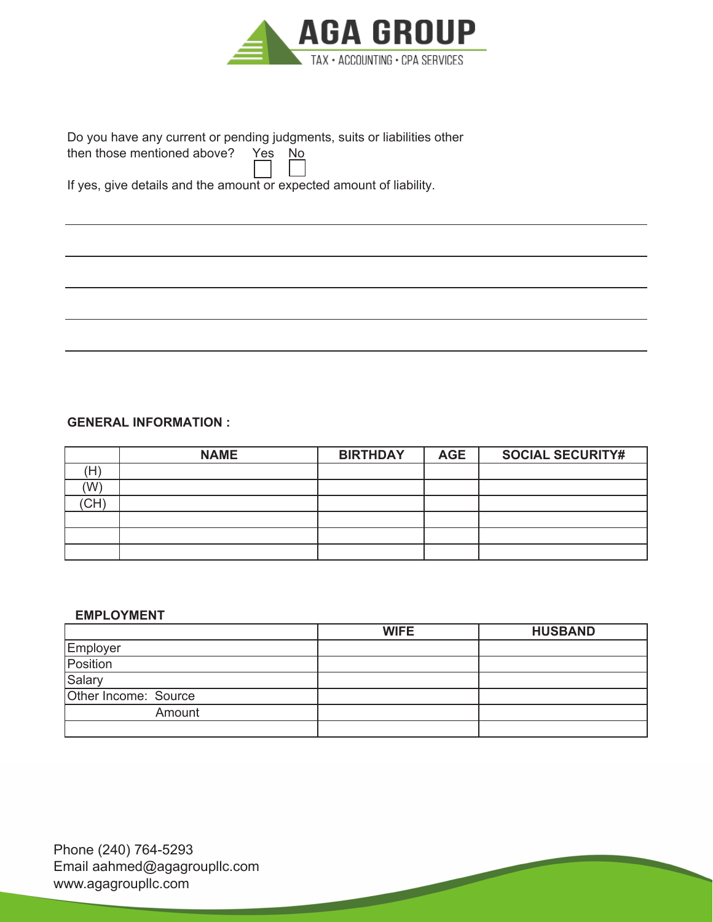

Do you have any current or pending judgments, suits or liabilities other then those mentioned above?  $\text{Yes}$  No

then those mentioned above?

If yes, give details and the amount or expected amount of liability.

# **GENERAL INFORMATION :**

|     | <b>NAME</b> | <b>BIRTHDAY</b> | <b>AGE</b> | <b>SOCIAL SECURITY#</b> |
|-----|-------------|-----------------|------------|-------------------------|
|     |             |                 |            |                         |
| (W) |             |                 |            |                         |
|     |             |                 |            |                         |
|     |             |                 |            |                         |
|     |             |                 |            |                         |
|     |             |                 |            |                         |

# **EMPLOYMENT**

|                      | <b>WIFE</b> | <b>HUSBAND</b> |
|----------------------|-------------|----------------|
| Employer             |             |                |
| Position             |             |                |
| Salary               |             |                |
| Other Income: Source |             |                |
| Amount               |             |                |
|                      |             |                |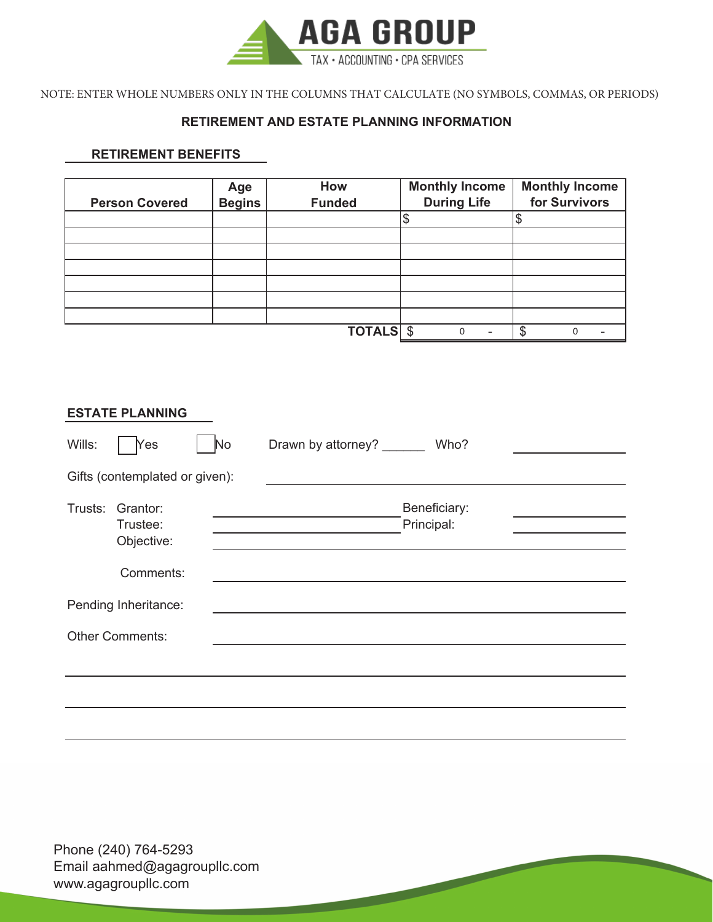

NOTE: ENTER WHOLE NUMBERS ONLY IN THE COLUMNS THAT CALCULATE (NO SYMBOLS, COMMAS, OR PERIODS)

# **RETIREMENT AND ESTATE PLANNING INFORMATION**

# **RETIREMENT BENEFITS**

|                       | Age           | How           | <b>Monthly Income</b> | <b>Monthly Income</b> |
|-----------------------|---------------|---------------|-----------------------|-----------------------|
| <b>Person Covered</b> | <b>Begins</b> | <b>Funded</b> | <b>During Life</b>    | for Survivors         |
|                       |               |               |                       |                       |
|                       |               |               |                       |                       |
|                       |               |               |                       |                       |
|                       |               |               |                       |                       |
|                       |               |               |                       |                       |
|                       |               |               |                       |                       |
|                       |               |               |                       |                       |
|                       |               | <b>TOTALS</b> |                       | ጥ<br>U                |

|        | <b>ESTATE PLANNING</b>                     |    |                    |                            |  |
|--------|--------------------------------------------|----|--------------------|----------------------------|--|
| Wills: | Yes                                        | No | Drawn by attorney? | Who?                       |  |
|        | Gifts (contemplated or given):             |    |                    |                            |  |
|        | Trusts: Grantor:<br>Trustee:<br>Objective: |    |                    | Beneficiary:<br>Principal: |  |
|        | Comments:                                  |    |                    |                            |  |
|        | Pending Inheritance:                       |    |                    |                            |  |
|        | <b>Other Comments:</b>                     |    |                    |                            |  |
|        |                                            |    |                    |                            |  |
|        |                                            |    |                    |                            |  |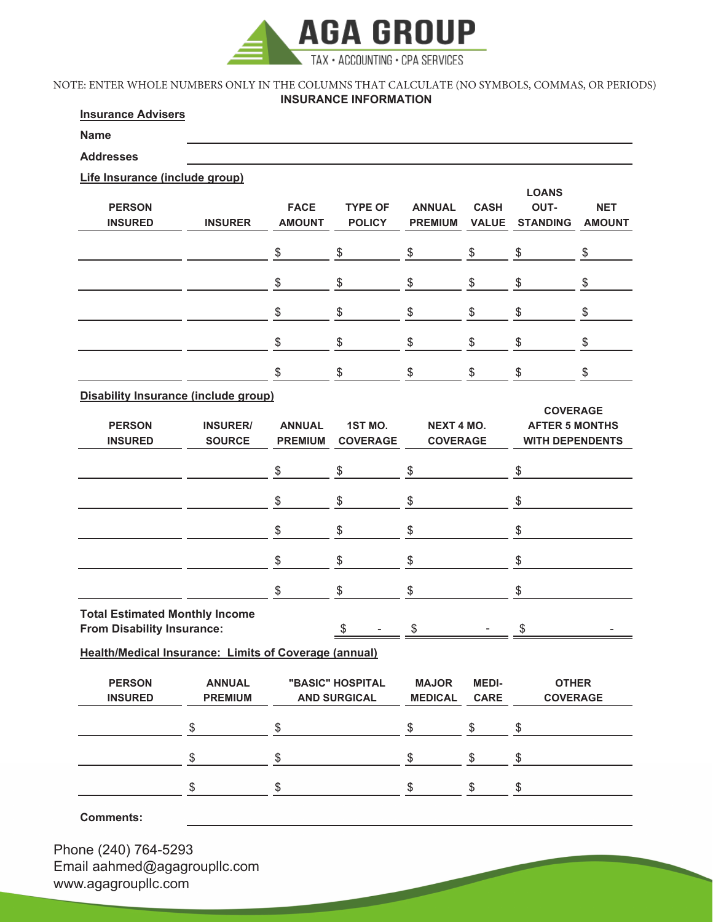

# NOTE: ENTER WHOLE NUMBERS ONLY IN THE COLUMNS THAT CALCULATE (NO SYMBOLS, COMMAS, OR PERIODS)

**INSURANCE INFORMATION**

# **Insurance Advisers**

**Name**

**Addresses**

#### **Life Insurance (include group)**

|                                                              |                                  |                |                 |                   |              | <b>LOANS</b>           |               |
|--------------------------------------------------------------|----------------------------------|----------------|-----------------|-------------------|--------------|------------------------|---------------|
| <b>PERSON</b>                                                |                                  | <b>FACE</b>    | <b>TYPE OF</b>  | <b>ANNUAL</b>     | <b>CASH</b>  | OUT-                   | <b>NET</b>    |
| <b>INSURED</b>                                               | <b>INSURER</b>                   | <b>AMOUNT</b>  | <b>POLICY</b>   | <b>PREMIUM</b>    | <b>VALUE</b> | <b>STANDING</b>        | <b>AMOUNT</b> |
|                                                              |                                  | \$             | \$              | \$                | \$           | \$                     | \$            |
|                                                              |                                  | \$             | \$              | \$                | \$           | \$                     | \$            |
|                                                              |                                  | \$             | \$              | \$                | \$           | \$                     | \$            |
|                                                              |                                  | \$             | \$              | \$                | \$           | \$                     | \$            |
|                                                              |                                  | \$             | \$              | \$                | \$           | \$                     | \$            |
| <b>Disability Insurance (include group)</b>                  |                                  |                |                 |                   |              |                        |               |
|                                                              |                                  |                |                 |                   |              | <b>COVERAGE</b>        |               |
| <b>PERSON</b>                                                | <b>INSURER/</b><br><b>SOURCE</b> | <b>ANNUAL</b>  | 1ST MO.         | <b>NEXT 4 MO.</b> |              | <b>AFTER 5 MONTHS</b>  |               |
| <b>INSURED</b>                                               |                                  | <b>PREMIUM</b> | <b>COVERAGE</b> | <b>COVERAGE</b>   |              | <b>WITH DEPENDENTS</b> |               |
|                                                              |                                  | \$             | \$              | \$                |              | \$                     |               |
|                                                              |                                  | \$             | \$              | \$                |              | \$                     |               |
|                                                              |                                  | \$             | \$              | \$                |              | \$                     |               |
|                                                              |                                  | \$             | \$              | \$                |              | \$                     |               |
|                                                              |                                  | \$             | \$              | \$                |              | \$                     |               |
| <b>Total Estimated Monthly Income</b>                        |                                  |                |                 |                   |              |                        |               |
| <b>From Disability Insurance:</b>                            |                                  |                | -S              | \$                |              | \$                     |               |
| <b>Health/Medical Insurance: Limits of Coverage (annual)</b> |                                  |                |                 |                   |              |                        |               |

| <b>PERSON</b><br><b>INSURED</b> | <b>ANNUAL</b><br><b>PREMIUM</b> | "BASIC" HOSPITAL<br><b>AND SURGICAL</b> | <b>MAJOR</b><br><b>MEDICAL</b> | <b>MEDI-</b><br><b>CARE</b> | <b>OTHER</b><br><b>COVERAGE</b> |  |
|---------------------------------|---------------------------------|-----------------------------------------|--------------------------------|-----------------------------|---------------------------------|--|
|                                 |                                 |                                         |                                |                             |                                 |  |
|                                 |                                 |                                         |                                |                             |                                 |  |
|                                 |                                 | ጦ                                       |                                |                             |                                 |  |

#### **Comments:**